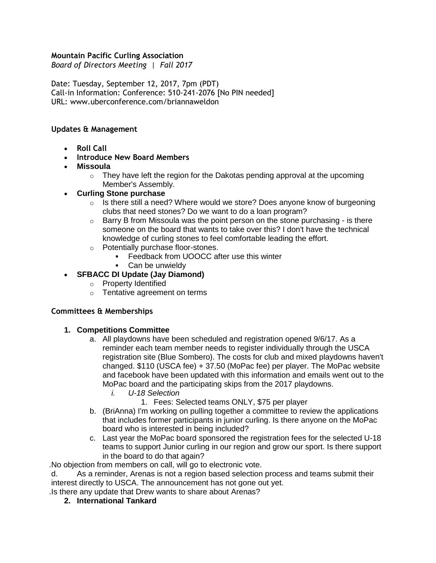### **Mountain Pacific Curling Association**

*Board of Directors Meeting | Fall 2017* 

Date: Tuesday, September 12, 2017, 7pm (PDT) Call-in Information: Conference: 510-241-2076 [No PIN needed] URL: www.uberconference.com/briannaweldon

### **Updates & Management**

- **Roll Call**
- **Introduce New Board Members**
- **Missoula** 
	- $\circ$  They have left the region for the Dakotas pending approval at the upcoming Member's Assembly.

### • **Curling Stone purchase**

- $\circ$  Is there still a need? Where would we store? Does anyone know of burgeoning clubs that need stones? Do we want to do a loan program?
- $\circ$  Barry B from Missoula was the point person on the stone purchasing is there someone on the board that wants to take over this? I don't have the technical knowledge of curling stones to feel comfortable leading the effort.
- o Potentially purchase floor-stones.
	- **Feedback from UOOCC after use this winter**
	- **•** Can be unwieldy

## • **SFBACC DI Update (Jay Diamond)**

- o Property Identified
- o Tentative agreement on terms

### **Committees & Memberships**

### **1. Competitions Committee**

- a. All playdowns have been scheduled and registration opened 9/6/17. As a reminder each team member needs to register individually through the USCA registration site (Blue Sombero). The costs for club and mixed playdowns haven't changed. \$110 (USCA fee) + 37.50 (MoPac fee) per player. The MoPac website and facebook have been updated with this information and emails went out to the MoPac board and the participating skips from the 2017 playdowns.
	- *i. U-18 Selection*
		- 1. Fees: Selected teams ONLY, \$75 per player
- b. (BriAnna) I'm working on pulling together a committee to review the applications that includes former participants in junior curling. Is there anyone on the MoPac board who is interested in being included?
- c. Last year the MoPac board sponsored the registration fees for the selected U-18 teams to support Junior curling in our region and grow our sport. Is there support in the board to do that again?

.No objection from members on call, will go to electronic vote.

d. As a reminder, Arenas is not a region based selection process and teams submit their interest directly to USCA. The announcement has not gone out yet.

.Is there any update that Drew wants to share about Arenas?

**2. International Tankard**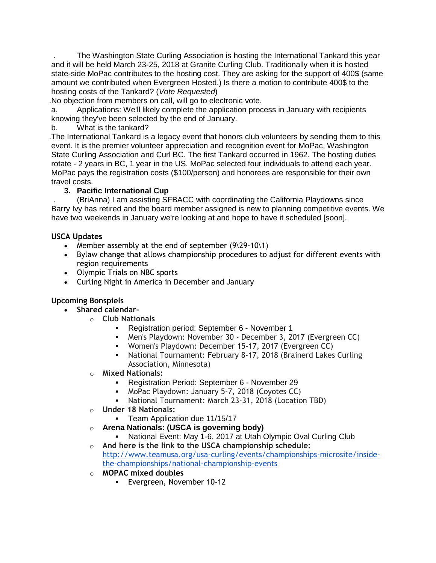. The Washington State Curling Association is hosting the International Tankard this year and it will be held March 23-25, 2018 at Granite Curling Club. Traditionally when it is hosted state-side MoPac contributes to the hosting cost. They are asking for the support of 400\$ (same amount we contributed when Evergreen Hosted.) Is there a motion to contribute 400\$ to the hosting costs of the Tankard? (*Vote Requested*)

.No objection from members on call, will go to electronic vote.

a. Applications: We'll likely complete the application process in January with recipients knowing they've been selected by the end of January.

b. What is the tankard?

.The International Tankard is a legacy event that honors club volunteers by sending them to this event. It is the premier volunteer appreciation and recognition event for MoPac, Washington State Curling Association and Curl BC. The first Tankard occurred in 1962. The hosting duties rotate - 2 years in BC, 1 year in the US. MoPac selected four individuals to attend each year. MoPac pays the registration costs (\$100/person) and honorees are responsible for their own travel costs.

## **3. Pacific International Cup**

. (BriAnna) I am assisting SFBACC with coordinating the California Playdowns since Barry Ivy has retired and the board member assigned is new to planning competitive events. We have two weekends in January we're looking at and hope to have it scheduled [soon].

## **USCA Updates**

- Member assembly at the end of september (9\29-10\1)
- Bylaw change that allows championship procedures to adjust for different events with region requirements
- Olympic Trials on NBC sports
- Curling Night in America in December and January

## **Upcoming Bonspiels**

- **Shared calendar**
	- o **Club Nationals**
		- Registration period: September 6 November 1
		- Men's Playdown: November 30 December 3, 2017 (Evergreen CC)
		- Women's Playdown: December 15-17, 2017 (Evergreen CC)
		- National Tournament: February 8-17, 2018 (Brainerd Lakes Curling Association, Minnesota)
	- o **Mixed Nationals:**
		- Registration Period: September 6 November 29
		- **MoPac Playdown: January 5-7, 2018 (Coyotes CC)**
		- National Tournament: March 23-31, 2018 (Location TBD)
	- o **Under 18 Nationals:**
		- **•** Team Application due 11/15/17
	- o **Arena Nationals: (USCA is governing body)** 
		- **EXEDENT:** May 1-6, 2017 at Utah Olympic Oval Curling Club
	- o **And here is the link to the USCA championship schedule:**  [http://www.teamusa.org/usa-curling/events/championships-microsite/inside](http://www.teamusa.org/usa-curling/events/championships-microsite/inside-the-championships/national-championship-events)[the-championships/national-championship-events](http://www.teamusa.org/usa-curling/events/championships-microsite/inside-the-championships/national-championship-events)
	- o **MOPAC mixed doubles**
		- Evergreen, November 10-12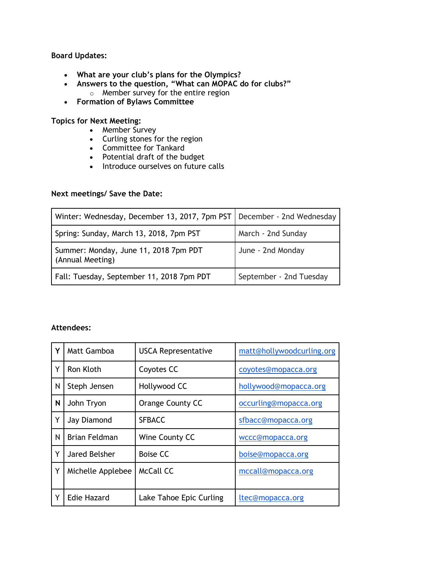### **Board Updates:**

- **What are your club's plans for the Olympics?**
- **Answers to the question, "What can MOPAC do for clubs?"** o Member survey for the entire region
- **Formation of Bylaws Committee**

**Topics for Next Meeting:**

- Member Survey
- Curling stones for the region
- Committee for Tankard
- Potential draft of the budget
- Introduce ourselves on future calls

### **Next meetings/ Save the Date:**

| Winter: Wednesday, December 13, 2017, 7pm PST             | December - 2nd Wednesday |
|-----------------------------------------------------------|--------------------------|
| Spring: Sunday, March 13, 2018, 7pm PST                   | March - 2nd Sunday       |
| Summer: Monday, June 11, 2018 7pm PDT<br>(Annual Meeting) | June - 2nd Monday        |
| Fall: Tuesday, September 11, 2018 7pm PDT                 | September - 2nd Tuesday  |

### **Attendees:**

| Υ | <b>Matt Gamboa</b>   | <b>USCA Representative</b> | matt@hollywoodcurling.org |
|---|----------------------|----------------------------|---------------------------|
| Y | Ron Kloth            | Coyotes CC                 | coyotes@mopacca.org       |
| N | Steph Jensen         | Hollywood CC               | hollywood@mopacca.org     |
| N | John Tryon           | Orange County CC           | occurling@mopacca.org     |
| Y | Jay Diamond          | <b>SFBACC</b>              | sfbacc@mopacca.org        |
| N | <b>Brian Feldman</b> | Wine County CC             | wccc@mopacca.org          |
| Y | Jared Belsher        | Boise CC                   | boise@mopacca.org         |
| Y | Michelle Applebee    | McCall CC                  | mccall@mopacca.org        |
|   |                      |                            |                           |
| Y | <b>Edie Hazard</b>   | Lake Tahoe Epic Curling    | ltec@mopacca.org          |